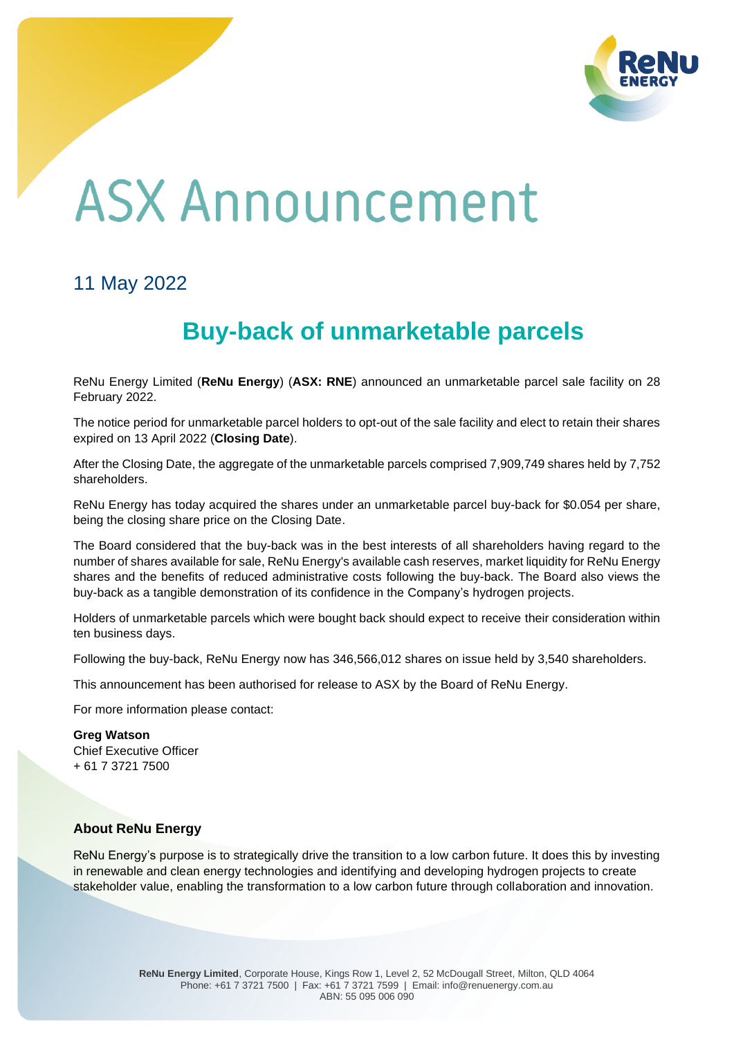

## **ASX Announcement**

## 11 May 2022

## **Buy-back of unmarketable parcels**

ReNu Energy Limited (**ReNu Energy**) (**ASX: RNE**) announced an unmarketable parcel sale facility on 28 February 2022.

The notice period for unmarketable parcel holders to opt-out of the sale facility and elect to retain their shares expired on 13 April 2022 (**Closing Date**).

After the Closing Date, the aggregate of the unmarketable parcels comprised 7,909,749 shares held by 7,752 shareholders.

ReNu Energy has today acquired the shares under an unmarketable parcel buy-back for \$0.054 per share, being the closing share price on the Closing Date.

The Board considered that the buy-back was in the best interests of all shareholders having regard to the number of shares available for sale, ReNu Energy's available cash reserves, market liquidity for ReNu Energy shares and the benefits of reduced administrative costs following the buy-back. The Board also views the buy-back as a tangible demonstration of its confidence in the Company's hydrogen projects.

Holders of unmarketable parcels which were bought back should expect to receive their consideration within ten business days.

Following the buy-back, ReNu Energy now has 346,566,012 shares on issue held by 3,540 shareholders.

This announcement has been authorised for release to ASX by the Board of ReNu Energy.

For more information please contact:

**Greg Watson** Chief Executive Officer + 61 7 3721 7500

## **About ReNu Energy**

ReNu Energy's purpose is to strategically drive the transition to a low carbon future. It does this by investing in renewable and clean energy technologies and identifying and developing hydrogen projects to create stakeholder value, enabling the transformation to a low carbon future through collaboration and innovation.